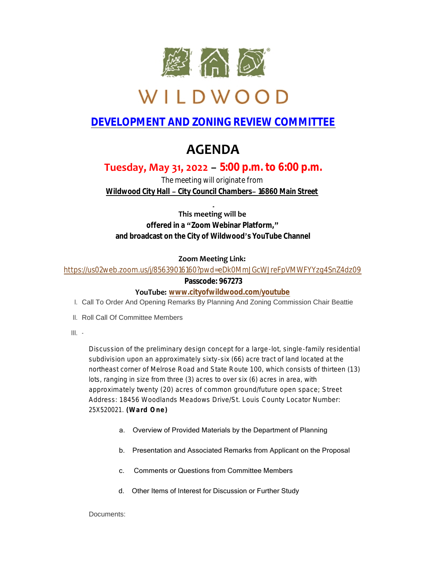

# WILDWOOD

### **DEVELOPMENT AND ZONING REVIEW COMMITTEE**

## **AGENDA**

### **Tuesday, May 31, 2022 – 5:00 p.m. to 6:00 p.m.**

*The meeting will originate from Wildwood City Hall – City Council Chambers– 16860 Main Street*

**This meeting will be offered in a "Zoom Webinar Platform," and broadcast on the City of Wildwood's YouTube Channel**

#### **Zoom Meeting Link:**

<https://us02web.zoom.us/j/85639016160?pwd=eDk0MmJGcWJreFpVMWFYYzg4SnZ4dz09>

#### **Passcode: 967273**

#### **YouTube: [www.cityofwildwood.com/youtube](http://www.cityofwildwood.com/youtube)**

- I. Call To Order And Opening Remarks By Planning And Zoning Commission Chair Beattie
- II. Roll Call Of Committee Members
- III.

Discussion of the preliminary design concept for a large-lot, single-family residential subdivision upon an approximately sixty-six (66) acre tract of land located at the northeast corner of Melrose Road and State Route 100, which consists of thirteen (13) lots, ranging in size from three (3) acres to over six (6) acres in area, with approximately twenty (20) acres of common ground/future open space; Street Address: 18456 Woodlands Meadows Drive/St. Louis County Locator Number: 25X520021. **(Ward One)**

- a. Overview of Provided Materials by the Department of Planning
- b. Presentation and Associated Remarks from Applicant on the Proposal
- c. Comments or Questions from Committee Members
- d. Other Items of Interest for Discussion or Further Study

Documents: